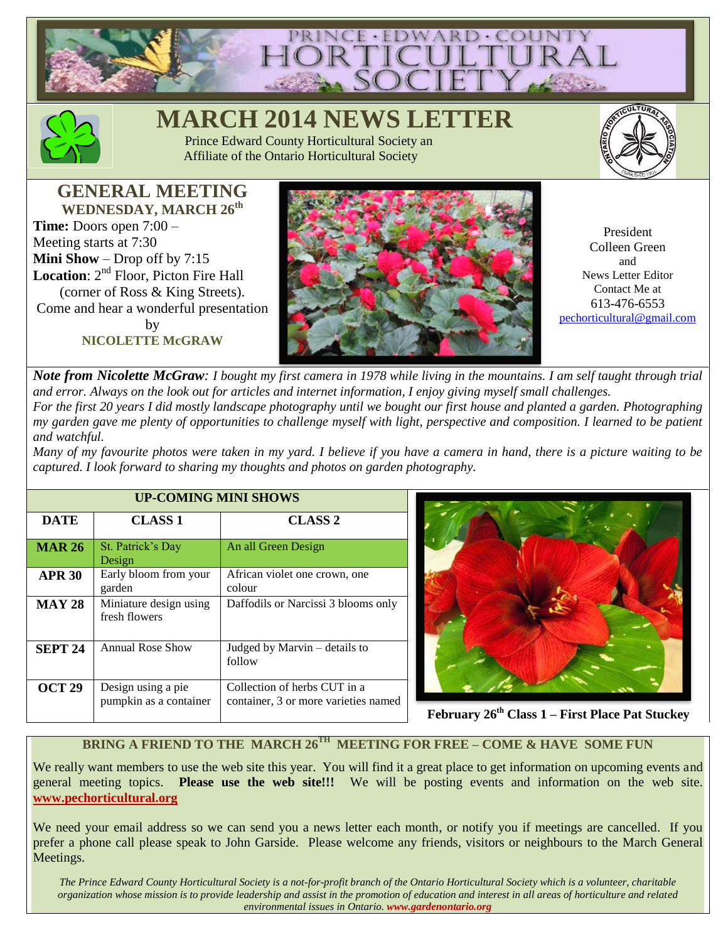



# **MARCH 2014 NEWS L**

 Prince Edward County Horticultural Society an Affiliate of the Ontario Horticultural Society



**GENERAL MEETING WEDNESDAY, MARCH 26th Time:** Doors open 7:00 – Meeting starts at 7:30 **Mini Show** – Drop off by 7:15 **Location**:  $2^{nd}$  Floor, Picton Fire Hall (corner of Ross & King Streets). Come and hear a wonderful presentation by **NICOLETTE McGRAW**



President Colleen Green and News Letter Editor Contact Me at 613-476-6553 [pechorticultural@gmail.com](mailto:pechorticultural@gmail.com)

*Note from Nicolette McGraw: I bought my first camera in 1978 while living in the mountains. I am self taught through trial and error. Always on the look out for articles and internet information, I enjoy giving myself small challenges. For the first 20 years I did mostly landscape photography until we bought our first house and planted a garden. Photographing my garden gave me plenty of opportunities to challenge myself with light, perspective and composition. I learned to be patient and watchful.*

*Many of my favourite photos were taken in my yard. I believe if you have a camera in hand, there is a picture waiting to be captured. I look forward to sharing my thoughts and photos on garden photography.*

| <b>UP-COMING MINI SHOWS</b> |                                              |                                                                      |
|-----------------------------|----------------------------------------------|----------------------------------------------------------------------|
| <b>DATE</b>                 | <b>CLASS 1</b>                               | <b>CLASS 2</b>                                                       |
| <b>MAR 26</b>               | St. Patrick's Day<br>Design                  | An all Green Design                                                  |
| <b>APR 30</b>               | Early bloom from your<br>garden              | African violet one crown, one<br>colour                              |
| <b>MAY 28</b>               | Miniature design using<br>fresh flowers      | Daffodils or Narcissi 3 blooms only                                  |
| <b>SEPT 24</b>              | <b>Annual Rose Show</b>                      | Judged by Marvin – details to<br>follow                              |
| <b>OCT 29</b>               | Design using a pie<br>pumpkin as a container | Collection of herbs CUT in a<br>container, 3 or more varieties named |



**February 26th Class 1 – First Place Pat Stuckey**

### **BRING A FRIEND TO THE MARCH 26TH MEETING FOR FREE – COME & HAVE SOME FUN**

We really want members to use the web site this year. You will find it a great place to get information on upcoming events and general meeting topics. **Please use the web site!!!** We will be posting events and information on the web site. **[www.pechorticultural.org](http://www.pechorticultural.org/)**

We need your email address so we can send you a news letter each month, or notify you if meetings are cancelled. If you prefer a phone call please speak to John Garside. Please welcome any friends, visitors or neighbours to the March General Meetings.

*The Prince Edward County Horticultural Society is a not-for-profit branch of the Ontario Horticultural Society which is a volunteer, charitable organization whose mission is to provide leadership and assist in the promotion of education and interest in all areas of horticulture and related environmental issues in Ontario. www.gardenontario.org*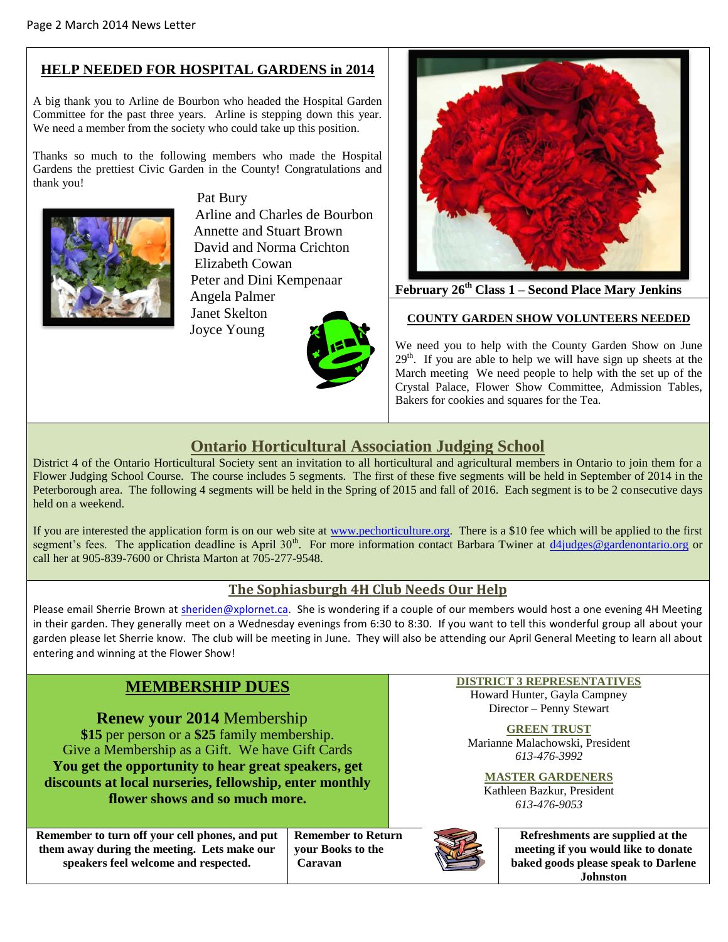# **HELP NEEDED FOR HOSPITAL GARDENS in 2014**

A big thank you to Arline de Bourbon who headed the Hospital Garden Committee for the past three years. Arline is stepping down this year. We need a member from the society who could take up this position.

Thanks so much to the following members who made the Hospital Gardens the prettiest Civic Garden in the County! Congratulations and thank you!



 Pat Bury Arline and Charles de Bourbon Annette and Stuart Brown David and Norma Crichton Elizabeth Cowan Peter and Dini Kempenaar Angela Palmer

 Janet Skelton Joyce Young





**February 26th Class 1 – Second Place Mary Jenkins**

#### **COUNTY GARDEN SHOW VOLUNTEERS NEEDED**

We need you to help with the County Garden Show on June  $29<sup>th</sup>$ . If you are able to help we will have sign up sheets at the March meeting We need people to help with the set up of the Crystal Palace, Flower Show Committee, Admission Tables, Bakers for cookies and squares for the Tea.

# **Ontario Horticultural Association Judging School**

District 4 of the Ontario Horticultural Society sent an invitation to all horticultural and agricultural members in Ontario to join them for a Flower Judging School Course. The course includes 5 segments. The first of these five segments will be held in September of 2014 in the Peterborough area. The following 4 segments will be held in the Spring of 2015 and fall of 2016. Each segment is to be 2 consecutive days held on a weekend.

If you are interested the application form is on our web site at [www.pechorticulture.org.](http://www.pechorticulture.org/) There is a \$10 fee which will be applied to the first segment's fees. The application deadline is April 30<sup>th</sup>. For more information contact Barbara Twiner at [d4judges@gardenontario.org](mailto:d4judges@gardenontario.org) or call her at 905-839-7600 or Christa Marton at 705-277-9548.

## **The Sophiasburgh 4H Club Needs Our Help**

Please email Sherrie Brown at [sheriden@xplornet.ca.](mailto:sheriden@xplornet.ca) She is wondering if a couple of our members would host a one evening 4H Meeting in their garden. They generally meet on a Wednesday evenings from 6:30 to 8:30. If you want to tell this wonderful group all about your garden please let Sherrie know. The club will be meeting in June. They will also be attending our April General Meeting to learn all about entering and winning at the Flower Show!

# **MEMBERSHIP DUES**

**Renew your 2014** Membership **\$15** per person or a **\$25** family membership. Give a Membership as a Gift. We have Gift Cards **You get the opportunity to hear great speakers, get discounts at local nurseries, fellowship, enter monthly flower shows and so much more.**

**Remember to turn off your cell phones, and put them away during the meeting. Lets make our speakers feel welcome and respected.**

**Remember to Return your Books to the Caravan**

#### **DISTRICT 3 REPRESENTATIVES**

Howard Hunter, Gayla Campney Director – Penny Stewart

**GREEN TRUST** Marianne Malachowski, President *613-476-3992*

**MASTER GARDENERS** Kathleen Bazkur, President *613-476-9053*



**Refreshments are supplied at the meeting if you would like to donate baked goods please speak to Darlene Johnston**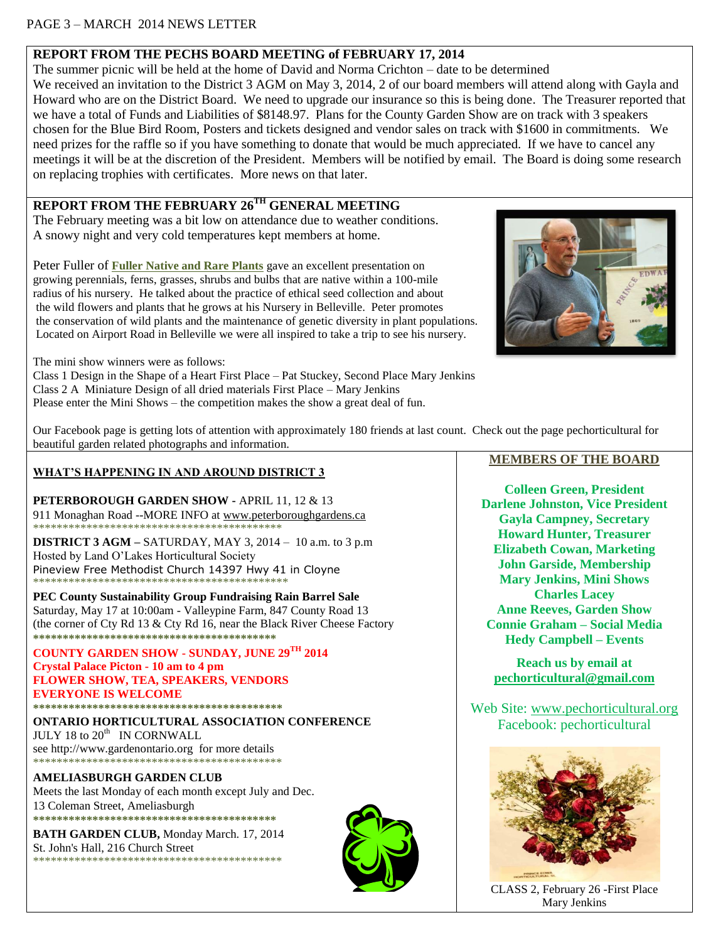### PAGE 3 – MARCH 2014 NEWS LETTER

### **REPORT FROM THE PECHS BOARD MEETING of FEBRUARY 17, 2014**

The summer picnic will be held at the home of David and Norma Crichton – date to be determined We received an invitation to the District 3 AGM on May 3, 2014, 2 of our board members will attend along with Gayla and Howard who are on the District Board. We need to upgrade our insurance so this is being done. The Treasurer reported that we have a total of Funds and Liabilities of \$8148.97. Plans for the County Garden Show are on track with 3 speakers chosen for the Blue Bird Room, Posters and tickets designed and vendor sales on track with \$1600 in commitments. We need prizes for the raffle so if you have something to donate that would be much appreciated. If we have to cancel any meetings it will be at the discretion of the President. Members will be notified by email. The Board is doing some research on replacing trophies with certificates. More news on that later.

# **REPORT FROM THE FEBRUARY 26TH GENERAL MEETING**

The February meeting was a bit low on attendance due to weather conditions. A snowy night and very cold temperatures kept members at home.

Peter Fuller of **[Fuller Native and Rare Plants](http://www.fullerplants.com/)** gave an excellent presentation on growing perennials, ferns, grasses, shrubs and bulbs that are native within a 100-mile radius of his nursery. He talked about the practice of ethical seed collection and about the wild flowers and plants that he grows at his Nursery in Belleville. Peter promotes the conservation of wild plants and the maintenance of genetic diversity in plant populations. Located on Airport Road in Belleville we were all inspired to take a trip to see his nursery.



The mini show winners were as follows:

Class 1 Design in the Shape of a Heart First Place – Pat Stuckey, Second Place Mary Jenkins Class 2 A Miniature Design of all dried materials First Place – Mary Jenkins Please enter the Mini Shows – the competition makes the show a great deal of fun.

Our Facebook page is getting lots of attention with approximately 180 friends at last count. Check out the page pechorticultural for beautiful garden related photographs and information.

#### **WHAT'S HAPPENING IN AND AROUND DISTRICT 3**

**PETERBOROUGH GARDEN SHOW -** APRIL 11, 12 & 13 911 Monaghan Road --MORE INFO a[t www.peterboroughgardens.ca](http://www.peterboroughgardens.ca/) \*\*\*\*\*\*\*\*\*\*\*\*\*\*\*\*\*\*\*\*\*\*\*\*\*\*\*\*\*\*\*\*\*\*\*\*\*\*\*\*\*\*

**DISTRICT 3 AGM –** SATURDAY, MAY 3, 2014 – 10 a.m. to 3 p.m Hosted by Land O'Lakes Horticultural Society Pineview Free Methodist Church 14397 Hwy 41 in Cloyne \*\*\*\*\*\*\*\*\*\*\*\*\*\*\*\*\*\*\*\*\*\*\*\*\*\*\*\*\*\*\*\*\*\*\*\*\*\*\*\*\*\*\*

**PEC County Sustainability Group Fundraising Rain Barrel Sale** Saturday, May 17 at 10:00am - Valleypine Farm, 847 County Road 13 (the corner of Cty Rd 13 & Cty Rd 16, near the Black River Cheese Factory **\*\*\*\*\*\*\*\*\*\*\*\*\*\*\*\*\*\*\*\*\*\*\*\*\*\*\*\*\*\*\*\*\*\*\*\*\*\*\*\*\***

**COUNTY GARDEN SHOW - SUNDAY, JUNE 29TH 2014**

**Crystal Palace Picton - 10 am to 4 pm FLOWER SHOW, TEA, SPEAKERS, VENDORS EVERYONE IS WELCOME \*\*\*\*\*\*\*\*\*\*\*\*\*\*\*\*\*\*\*\*\*\*\*\*\*\*\*\*\*\*\*\*\*\*\*\*\*\*\*\*\*\***

**ONTARIO HORTICULTURAL ASSOCIATION CONFERENCE**  $JULY$  18 to  $20<sup>th</sup>$  IN CORNWALL see http://www.gardenontario.org for more details \*\*\*\*\*\*\*\*\*\*\*\*\*\*\*\*\*\*\*\*\*\*\*\*\*\*\*\*\*\*\*\*\*\*\*\*\*\*\*\*\*\*

**AMELIASBURGH GARDEN CLUB** Meets the last Monday of each month except July and Dec. 13 Coleman Street, Ameliasburgh **\*\*\*\*\*\*\*\*\*\*\*\*\*\*\*\*\*\*\*\*\*\*\*\*\*\*\*\*\*\*\*\*\*\*\*\*\*\*\*\*\***

**BATH GARDEN CLUB,** Monday March. 17, 2014 St. John's Hall, 216 Church Street \*\*\*\*\*\*\*\*\*\*\*\*\*\*\*\*\*\*\*\*\*\*\*\*\*\*\*\*\*\*\*\*\*\*\*\*\*\*\*\*\*\*



#### **MEMBERS OF THE BOARD**

**Colleen Green, President Darlene Johnston, Vice President Gayla Campney, Secretary Howard Hunter, Treasurer Elizabeth Cowan, Marketing John Garside, Membership Mary Jenkins, Mini Shows Charles Lacey Anne Reeves, Garden Show Connie Graham – Social Media Hedy Campbell – Events**

**Reach us by email at [pechorticultural@gmail.com](mailto:pechorticultural@gmail.com)**

Web Site: [www.pechorticultural.org](http://www.pechorticultural.org/) Facebook: pechorticultural



CLASS 2, February 26 -First Place Mary Jenkins